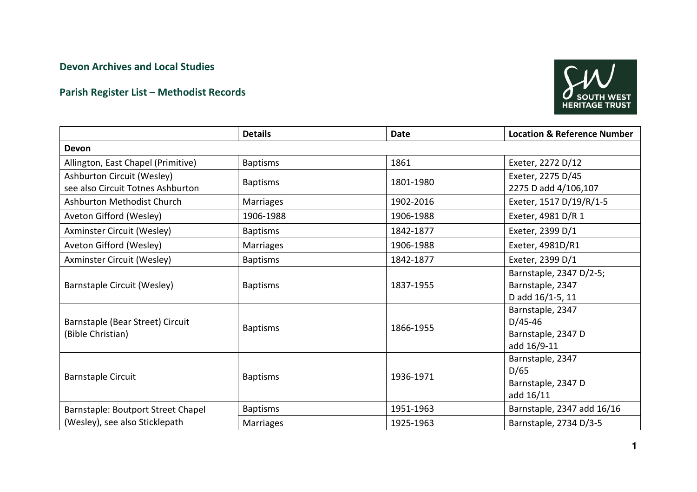## Devon Archives and Local Studies

## Parish Register List – Methodist Records



|                                                                 | <b>Details</b>   | <b>Date</b> | <b>Location &amp; Reference Number</b>                             |
|-----------------------------------------------------------------|------------------|-------------|--------------------------------------------------------------------|
| Devon                                                           |                  |             |                                                                    |
| Allington, East Chapel (Primitive)                              | <b>Baptisms</b>  | 1861        | Exeter, 2272 D/12                                                  |
| Ashburton Circuit (Wesley)<br>see also Circuit Totnes Ashburton | <b>Baptisms</b>  | 1801-1980   | Exeter, 2275 D/45<br>2275 D add 4/106,107                          |
| Ashburton Methodist Church                                      | <b>Marriages</b> | 1902-2016   | Exeter, 1517 D/19/R/1-5                                            |
| Aveton Gifford (Wesley)                                         | 1906-1988        | 1906-1988   | Exeter, 4981 D/R 1                                                 |
| Axminster Circuit (Wesley)                                      | <b>Baptisms</b>  | 1842-1877   | Exeter, 2399 D/1                                                   |
| Aveton Gifford (Wesley)                                         | <b>Marriages</b> | 1906-1988   | Exeter, 4981D/R1                                                   |
| <b>Axminster Circuit (Wesley)</b>                               | <b>Baptisms</b>  | 1842-1877   | Exeter, 2399 D/1                                                   |
| Barnstaple Circuit (Wesley)                                     | <b>Baptisms</b>  | 1837-1955   | Barnstaple, 2347 D/2-5;<br>Barnstaple, 2347<br>D add 16/1-5, 11    |
| Barnstaple (Bear Street) Circuit<br>(Bible Christian)           | <b>Baptisms</b>  | 1866-1955   | Barnstaple, 2347<br>$D/45-46$<br>Barnstaple, 2347 D<br>add 16/9-11 |
| <b>Barnstaple Circuit</b>                                       | <b>Baptisms</b>  | 1936-1971   | Barnstaple, 2347<br>D/65<br>Barnstaple, 2347 D<br>add 16/11        |
| Barnstaple: Boutport Street Chapel                              | <b>Baptisms</b>  | 1951-1963   | Barnstaple, 2347 add 16/16                                         |
| (Wesley), see also Sticklepath                                  | <b>Marriages</b> | 1925-1963   | Barnstaple, 2734 D/3-5                                             |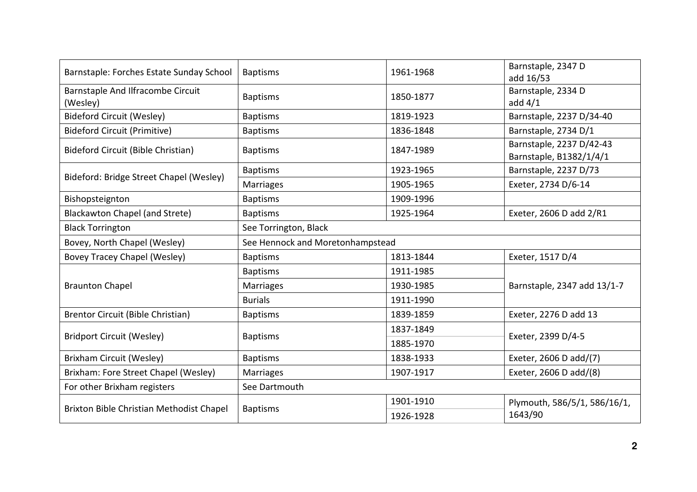| Barnstaple: Forches Estate Sunday School      | <b>Baptisms</b>                  | 1961-1968              | Barnstaple, 2347 D<br>add 16/53                     |
|-----------------------------------------------|----------------------------------|------------------------|-----------------------------------------------------|
| Barnstaple And Ilfracombe Circuit<br>(Wesley) | <b>Baptisms</b>                  | 1850-1877              | Barnstaple, 2334 D<br>add $4/1$                     |
| <b>Bideford Circuit (Wesley)</b>              | <b>Baptisms</b>                  | 1819-1923              | Barnstaple, 2237 D/34-40                            |
| <b>Bideford Circuit (Primitive)</b>           | <b>Baptisms</b>                  | 1836-1848              | Barnstaple, 2734 D/1                                |
| Bideford Circuit (Bible Christian)            | <b>Baptisms</b>                  | 1847-1989              | Barnstaple, 2237 D/42-43<br>Barnstaple, B1382/1/4/1 |
|                                               | <b>Baptisms</b>                  | 1923-1965              | Barnstaple, 2237 D/73                               |
| Bideford: Bridge Street Chapel (Wesley)       | <b>Marriages</b>                 | 1905-1965              | Exeter, 2734 D/6-14                                 |
| Bishopsteignton                               | <b>Baptisms</b>                  | 1909-1996              |                                                     |
| <b>Blackawton Chapel (and Strete)</b>         | <b>Baptisms</b>                  | 1925-1964              | Exeter, 2606 D add 2/R1                             |
| <b>Black Torrington</b>                       | See Torrington, Black            |                        |                                                     |
| Bovey, North Chapel (Wesley)                  | See Hennock and Moretonhampstead |                        |                                                     |
| Bovey Tracey Chapel (Wesley)                  | <b>Baptisms</b>                  | 1813-1844              | Exeter, 1517 D/4                                    |
|                                               | <b>Baptisms</b>                  | 1911-1985              |                                                     |
| <b>Braunton Chapel</b>                        | <b>Marriages</b>                 | 1930-1985              | Barnstaple, 2347 add 13/1-7                         |
|                                               | <b>Burials</b>                   | 1911-1990              |                                                     |
| Brentor Circuit (Bible Christian)             | <b>Baptisms</b>                  | 1839-1859              | Exeter, 2276 D add 13                               |
| <b>Bridport Circuit (Wesley)</b>              |                                  | 1837-1849              | Exeter, 2399 D/4-5                                  |
|                                               | <b>Baptisms</b>                  | 1885-1970              |                                                     |
| Brixham Circuit (Wesley)                      | <b>Baptisms</b>                  | 1838-1933              | Exeter, 2606 D add/(7)                              |
| Brixham: Fore Street Chapel (Wesley)          | <b>Marriages</b>                 | 1907-1917              | Exeter, 2606 D add/(8)                              |
| For other Brixham registers                   | See Dartmouth                    |                        |                                                     |
| Brixton Bible Christian Methodist Chapel      | <b>Baptisms</b>                  | 1901-1910<br>1926-1928 | Plymouth, 586/5/1, 586/16/1,<br>1643/90             |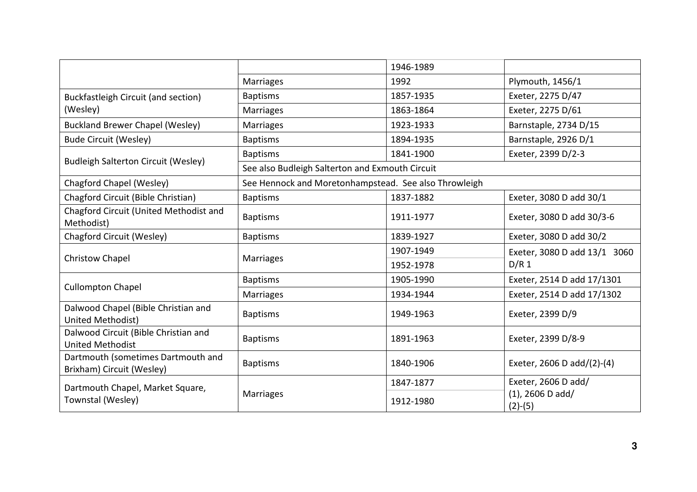|                                                                 |                                                       | 1946-1989 |                                  |
|-----------------------------------------------------------------|-------------------------------------------------------|-----------|----------------------------------|
|                                                                 | <b>Marriages</b>                                      | 1992      | Plymouth, 1456/1                 |
| <b>Buckfastleigh Circuit (and section)</b>                      | <b>Baptisms</b>                                       | 1857-1935 | Exeter, 2275 D/47                |
| (Wesley)                                                        | <b>Marriages</b>                                      | 1863-1864 | Exeter, 2275 D/61                |
| <b>Buckland Brewer Chapel (Wesley)</b>                          | <b>Marriages</b>                                      | 1923-1933 | Barnstaple, 2734 D/15            |
| <b>Bude Circuit (Wesley)</b>                                    | <b>Baptisms</b>                                       | 1894-1935 | Barnstaple, 2926 D/1             |
|                                                                 | <b>Baptisms</b>                                       | 1841-1900 | Exeter, 2399 D/2-3               |
| <b>Budleigh Salterton Circuit (Wesley)</b>                      | See also Budleigh Salterton and Exmouth Circuit       |           |                                  |
| Chagford Chapel (Wesley)                                        | See Hennock and Moretonhampstead. See also Throwleigh |           |                                  |
| Chagford Circuit (Bible Christian)                              | <b>Baptisms</b>                                       | 1837-1882 | Exeter, 3080 D add 30/1          |
| Chagford Circuit (United Methodist and<br>Methodist)            | <b>Baptisms</b>                                       | 1911-1977 | Exeter, 3080 D add 30/3-6        |
| Chagford Circuit (Wesley)                                       | <b>Baptisms</b>                                       | 1839-1927 | Exeter, 3080 D add 30/2          |
|                                                                 | <b>Marriages</b>                                      | 1907-1949 | Exeter, 3080 D add 13/1 3060     |
| <b>Christow Chapel</b>                                          |                                                       | 1952-1978 | D/R <sub>1</sub>                 |
|                                                                 | <b>Baptisms</b>                                       | 1905-1990 | Exeter, 2514 D add 17/1301       |
| <b>Cullompton Chapel</b>                                        | <b>Marriages</b>                                      | 1934-1944 | Exeter, 2514 D add 17/1302       |
| Dalwood Chapel (Bible Christian and<br>United Methodist)        | <b>Baptisms</b>                                       | 1949-1963 | Exeter, 2399 D/9                 |
| Dalwood Circuit (Bible Christian and<br><b>United Methodist</b> | <b>Baptisms</b>                                       | 1891-1963 | Exeter, 2399 D/8-9               |
| Dartmouth (sometimes Dartmouth and<br>Brixham) Circuit (Wesley) | <b>Baptisms</b>                                       | 1840-1906 | Exeter, 2606 D add/(2)-(4)       |
| Dartmouth Chapel, Market Square,                                |                                                       | 1847-1877 | Exeter, 2606 D add/              |
| Townstal (Wesley)                                               | <b>Marriages</b>                                      | 1912-1980 | $(1)$ , 2606 D add/<br>$(2)-(5)$ |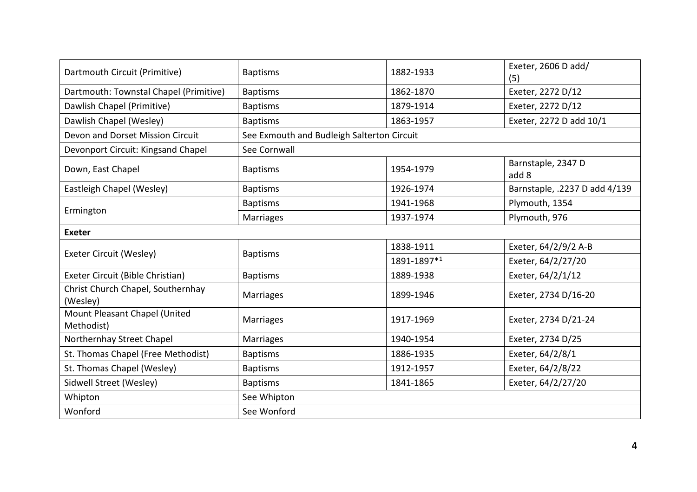| Dartmouth Circuit (Primitive)                 | <b>Baptisms</b>                            | 1882-1933   | Exeter, 2606 D add/<br>(5)    |
|-----------------------------------------------|--------------------------------------------|-------------|-------------------------------|
| Dartmouth: Townstal Chapel (Primitive)        | <b>Baptisms</b>                            | 1862-1870   | Exeter, 2272 D/12             |
| Dawlish Chapel (Primitive)                    | <b>Baptisms</b>                            | 1879-1914   | Exeter, 2272 D/12             |
| Dawlish Chapel (Wesley)                       | <b>Baptisms</b>                            | 1863-1957   | Exeter, 2272 D add 10/1       |
| Devon and Dorset Mission Circuit              | See Exmouth and Budleigh Salterton Circuit |             |                               |
| Devonport Circuit: Kingsand Chapel            | See Cornwall                               |             |                               |
| Down, East Chapel                             | <b>Baptisms</b>                            | 1954-1979   | Barnstaple, 2347 D<br>add 8   |
| Eastleigh Chapel (Wesley)                     | <b>Baptisms</b>                            | 1926-1974   | Barnstaple, .2237 D add 4/139 |
|                                               | <b>Baptisms</b>                            | 1941-1968   | Plymouth, 1354                |
| Ermington                                     | Marriages                                  | 1937-1974   | Plymouth, 976                 |
| <b>Exeter</b>                                 |                                            |             |                               |
|                                               | <b>Baptisms</b>                            | 1838-1911   | Exeter, 64/2/9/2 A-B          |
| Exeter Circuit (Wesley)                       |                                            | 1891-1897*1 | Exeter, 64/2/27/20            |
| Exeter Circuit (Bible Christian)              | <b>Baptisms</b>                            | 1889-1938   | Exeter, 64/2/1/12             |
| Christ Church Chapel, Southernhay<br>(Wesley) | <b>Marriages</b>                           | 1899-1946   | Exeter, 2734 D/16-20          |
| Mount Pleasant Chapel (United<br>Methodist)   | <b>Marriages</b>                           | 1917-1969   | Exeter, 2734 D/21-24          |
| Northernhay Street Chapel                     | <b>Marriages</b>                           | 1940-1954   | Exeter, 2734 D/25             |
| St. Thomas Chapel (Free Methodist)            | <b>Baptisms</b>                            | 1886-1935   | Exeter, 64/2/8/1              |
| St. Thomas Chapel (Wesley)                    | <b>Baptisms</b>                            | 1912-1957   | Exeter, 64/2/8/22             |
| Sidwell Street (Wesley)                       | <b>Baptisms</b>                            | 1841-1865   | Exeter, 64/2/27/20            |
| Whipton                                       | See Whipton                                |             |                               |
| Wonford                                       | See Wonford                                |             |                               |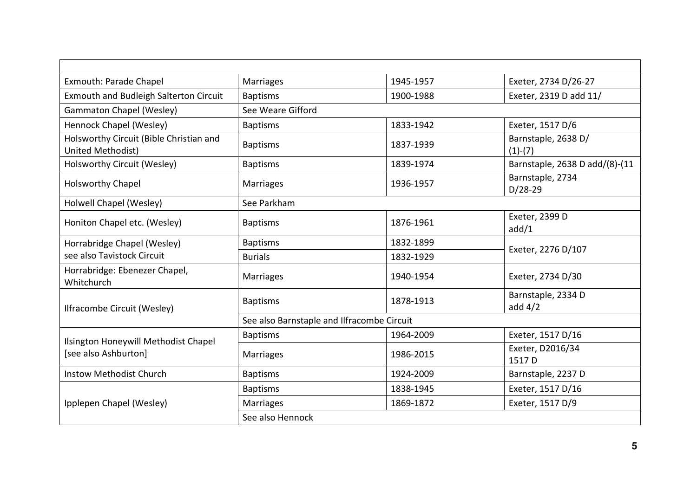| Exmouth: Parade Chapel                                       | <b>Marriages</b>                           | 1945-1957 | Exeter, 2734 D/26-27             |
|--------------------------------------------------------------|--------------------------------------------|-----------|----------------------------------|
| Exmouth and Budleigh Salterton Circuit                       | <b>Baptisms</b>                            | 1900-1988 | Exeter, 2319 D add 11/           |
| <b>Gammaton Chapel (Wesley)</b>                              | See Weare Gifford                          |           |                                  |
| Hennock Chapel (Wesley)                                      | <b>Baptisms</b>                            | 1833-1942 | Exeter, 1517 D/6                 |
| Holsworthy Circuit (Bible Christian and<br>United Methodist) | <b>Baptisms</b>                            | 1837-1939 | Barnstaple, 2638 D/<br>$(1)-(7)$ |
| Holsworthy Circuit (Wesley)                                  | <b>Baptisms</b>                            | 1839-1974 | Barnstaple, 2638 D add/(8)-(11   |
| <b>Holsworthy Chapel</b>                                     | <b>Marriages</b>                           | 1936-1957 | Barnstaple, 2734<br>$D/28-29$    |
| Holwell Chapel (Wesley)                                      | See Parkham                                |           |                                  |
| Honiton Chapel etc. (Wesley)                                 | <b>Baptisms</b>                            | 1876-1961 | Exeter, 2399 D<br>add/1          |
| Horrabridge Chapel (Wesley)                                  | <b>Baptisms</b>                            | 1832-1899 | Exeter, 2276 D/107               |
| see also Tavistock Circuit                                   | <b>Burials</b>                             | 1832-1929 |                                  |
| Horrabridge: Ebenezer Chapel,<br>Whitchurch                  | <b>Marriages</b>                           | 1940-1954 | Exeter, 2734 D/30                |
| Ilfracombe Circuit (Wesley)                                  | <b>Baptisms</b>                            | 1878-1913 | Barnstaple, 2334 D<br>add $4/2$  |
|                                                              | See also Barnstaple and Ilfracombe Circuit |           |                                  |
| Ilsington Honeywill Methodist Chapel                         | <b>Baptisms</b>                            | 1964-2009 | Exeter, 1517 D/16                |
| [see also Ashburton]                                         | <b>Marriages</b>                           | 1986-2015 | Exeter, D2016/34<br>1517 D       |
| <b>Instow Methodist Church</b>                               | <b>Baptisms</b>                            | 1924-2009 | Barnstaple, 2237 D               |
|                                                              | <b>Baptisms</b>                            | 1838-1945 | Exeter, 1517 D/16                |
| Ipplepen Chapel (Wesley)                                     | Marriages                                  | 1869-1872 | Exeter, 1517 D/9                 |
|                                                              | See also Hennock                           |           |                                  |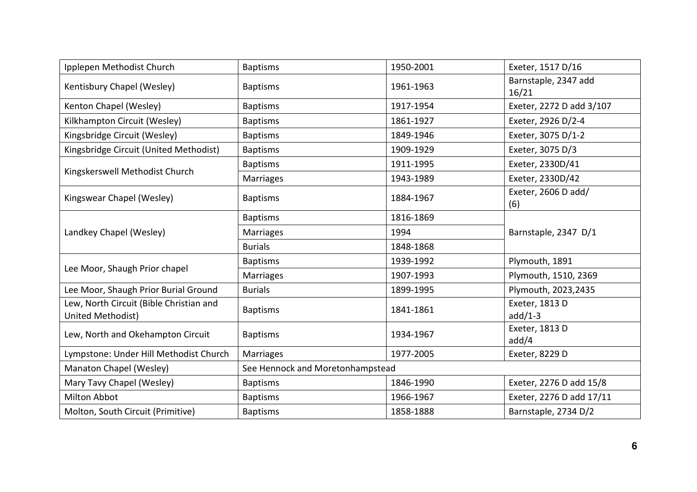| Ipplepen Methodist Church                                    | <b>Baptisms</b>                  | 1950-2001 | Exeter, 1517 D/16             |  |
|--------------------------------------------------------------|----------------------------------|-----------|-------------------------------|--|
| Kentisbury Chapel (Wesley)                                   | <b>Baptisms</b>                  | 1961-1963 | Barnstaple, 2347 add<br>16/21 |  |
| Kenton Chapel (Wesley)                                       | <b>Baptisms</b>                  | 1917-1954 | Exeter, 2272 D add 3/107      |  |
| Kilkhampton Circuit (Wesley)                                 | <b>Baptisms</b>                  | 1861-1927 | Exeter, 2926 D/2-4            |  |
| Kingsbridge Circuit (Wesley)                                 | <b>Baptisms</b>                  | 1849-1946 | Exeter, 3075 D/1-2            |  |
| Kingsbridge Circuit (United Methodist)                       | <b>Baptisms</b>                  | 1909-1929 | Exeter, 3075 D/3              |  |
|                                                              | <b>Baptisms</b>                  | 1911-1995 | Exeter, 2330D/41              |  |
| Kingskerswell Methodist Church                               | Marriages                        | 1943-1989 | Exeter, 2330D/42              |  |
| Kingswear Chapel (Wesley)                                    | <b>Baptisms</b>                  | 1884-1967 | Exeter, 2606 D add/<br>(6)    |  |
|                                                              | <b>Baptisms</b>                  | 1816-1869 |                               |  |
| Landkey Chapel (Wesley)                                      | Marriages                        | 1994      | Barnstaple, 2347 D/1          |  |
|                                                              | <b>Burials</b>                   | 1848-1868 |                               |  |
|                                                              | <b>Baptisms</b>                  | 1939-1992 | Plymouth, 1891                |  |
| Lee Moor, Shaugh Prior chapel                                | Marriages                        | 1907-1993 | Plymouth, 1510, 2369          |  |
| Lee Moor, Shaugh Prior Burial Ground                         | <b>Burials</b>                   | 1899-1995 | Plymouth, 2023, 2435          |  |
| Lew, North Circuit (Bible Christian and<br>United Methodist) | <b>Baptisms</b>                  | 1841-1861 | Exeter, 1813 D<br>$add/1-3$   |  |
| Lew, North and Okehampton Circuit                            | <b>Baptisms</b>                  | 1934-1967 | Exeter, 1813 D<br>add/4       |  |
| Lympstone: Under Hill Methodist Church                       | Marriages                        | 1977-2005 | Exeter, 8229 D                |  |
| Manaton Chapel (Wesley)                                      | See Hennock and Moretonhampstead |           |                               |  |
| Mary Tavy Chapel (Wesley)                                    | <b>Baptisms</b>                  | 1846-1990 | Exeter, 2276 D add 15/8       |  |
| <b>Milton Abbot</b>                                          | <b>Baptisms</b>                  | 1966-1967 | Exeter, 2276 D add 17/11      |  |
| Molton, South Circuit (Primitive)                            | <b>Baptisms</b>                  | 1858-1888 | Barnstaple, 2734 D/2          |  |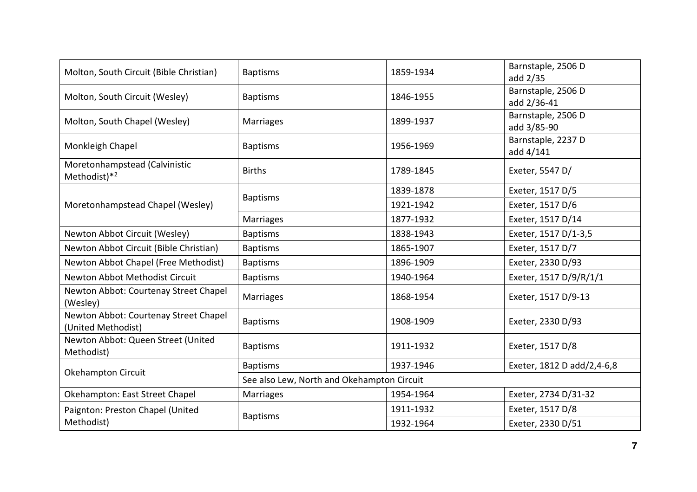| Molton, South Circuit (Bible Christian)                     | <b>Baptisms</b>                            | 1859-1934 | Barnstaple, 2506 D<br>add 2/35    |  |
|-------------------------------------------------------------|--------------------------------------------|-----------|-----------------------------------|--|
| Molton, South Circuit (Wesley)                              | <b>Baptisms</b>                            | 1846-1955 | Barnstaple, 2506 D<br>add 2/36-41 |  |
| Molton, South Chapel (Wesley)                               | <b>Marriages</b>                           | 1899-1937 | Barnstaple, 2506 D<br>add 3/85-90 |  |
| Monkleigh Chapel                                            | <b>Baptisms</b>                            | 1956-1969 | Barnstaple, 2237 D<br>add 4/141   |  |
| Moretonhampstead (Calvinistic<br>Methodist)*2               | <b>Births</b>                              | 1789-1845 | Exeter, 5547 D/                   |  |
|                                                             | <b>Baptisms</b>                            | 1839-1878 | Exeter, 1517 D/5                  |  |
| Moretonhampstead Chapel (Wesley)                            |                                            | 1921-1942 | Exeter, 1517 D/6                  |  |
|                                                             | <b>Marriages</b>                           | 1877-1932 | Exeter, 1517 D/14                 |  |
| Newton Abbot Circuit (Wesley)                               | <b>Baptisms</b>                            | 1838-1943 | Exeter, 1517 D/1-3,5              |  |
| Newton Abbot Circuit (Bible Christian)                      | <b>Baptisms</b>                            | 1865-1907 | Exeter, 1517 D/7                  |  |
| Newton Abbot Chapel (Free Methodist)                        | <b>Baptisms</b>                            | 1896-1909 | Exeter, 2330 D/93                 |  |
| Newton Abbot Methodist Circuit                              | <b>Baptisms</b>                            | 1940-1964 | Exeter, 1517 D/9/R/1/1            |  |
| Newton Abbot: Courtenay Street Chapel<br>(Wesley)           | <b>Marriages</b>                           | 1868-1954 | Exeter, 1517 D/9-13               |  |
| Newton Abbot: Courtenay Street Chapel<br>(United Methodist) | <b>Baptisms</b>                            | 1908-1909 | Exeter, 2330 D/93                 |  |
| Newton Abbot: Queen Street (United<br>Methodist)            | <b>Baptisms</b>                            | 1911-1932 | Exeter, 1517 D/8                  |  |
|                                                             | <b>Baptisms</b>                            | 1937-1946 | Exeter, 1812 D add/2,4-6,8        |  |
| Okehampton Circuit                                          | See also Lew, North and Okehampton Circuit |           |                                   |  |
| Okehampton: East Street Chapel                              | <b>Marriages</b>                           | 1954-1964 | Exeter, 2734 D/31-32              |  |
| Paignton: Preston Chapel (United                            |                                            | 1911-1932 | Exeter, 1517 D/8                  |  |
| <b>Baptisms</b><br>Methodist)                               |                                            | 1932-1964 | Exeter, 2330 D/51                 |  |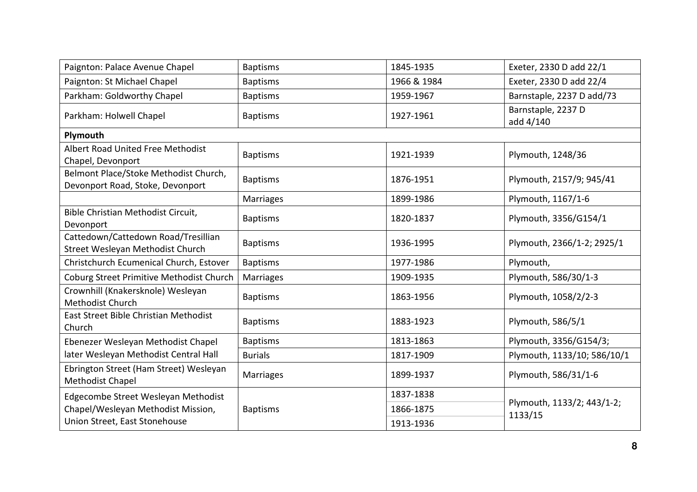| Paignton: Palace Avenue Chapel                                            | <b>Baptisms</b>  | 1845-1935   | Exeter, 2330 D add 22/1               |
|---------------------------------------------------------------------------|------------------|-------------|---------------------------------------|
| Paignton: St Michael Chapel                                               | <b>Baptisms</b>  | 1966 & 1984 | Exeter, 2330 D add 22/4               |
| Parkham: Goldworthy Chapel                                                | <b>Baptisms</b>  | 1959-1967   | Barnstaple, 2237 D add/73             |
| Parkham: Holwell Chapel                                                   | <b>Baptisms</b>  | 1927-1961   | Barnstaple, 2237 D<br>add 4/140       |
| Plymouth                                                                  |                  |             |                                       |
| Albert Road United Free Methodist<br>Chapel, Devonport                    | <b>Baptisms</b>  | 1921-1939   | Plymouth, 1248/36                     |
| Belmont Place/Stoke Methodist Church,<br>Devonport Road, Stoke, Devonport | <b>Baptisms</b>  | 1876-1951   | Plymouth, 2157/9; 945/41              |
|                                                                           | <b>Marriages</b> | 1899-1986   | Plymouth, 1167/1-6                    |
| Bible Christian Methodist Circuit,<br>Devonport                           | <b>Baptisms</b>  | 1820-1837   | Plymouth, 3356/G154/1                 |
| Cattedown/Cattedown Road/Tresillian<br>Street Wesleyan Methodist Church   | <b>Baptisms</b>  | 1936-1995   | Plymouth, 2366/1-2; 2925/1            |
| Christchurch Ecumenical Church, Estover                                   | <b>Baptisms</b>  | 1977-1986   | Plymouth,                             |
| Coburg Street Primitive Methodist Church                                  | Marriages        | 1909-1935   | Plymouth, 586/30/1-3                  |
| Crownhill (Knakersknole) Wesleyan<br>Methodist Church                     | <b>Baptisms</b>  | 1863-1956   | Plymouth, 1058/2/2-3                  |
| East Street Bible Christian Methodist<br>Church                           | <b>Baptisms</b>  | 1883-1923   | Plymouth, 586/5/1                     |
| Ebenezer Wesleyan Methodist Chapel                                        | <b>Baptisms</b>  | 1813-1863   | Plymouth, 3356/G154/3;                |
| later Wesleyan Methodist Central Hall                                     | <b>Burials</b>   | 1817-1909   | Plymouth, 1133/10; 586/10/1           |
| Ebrington Street (Ham Street) Wesleyan<br>Methodist Chapel                | Marriages        | 1899-1937   | Plymouth, 586/31/1-6                  |
| Edgecombe Street Wesleyan Methodist                                       |                  | 1837-1838   |                                       |
| Chapel/Wesleyan Methodist Mission,                                        | <b>Baptisms</b>  | 1866-1875   | Plymouth, 1133/2; 443/1-2;<br>1133/15 |
| Union Street, East Stonehouse                                             |                  | 1913-1936   |                                       |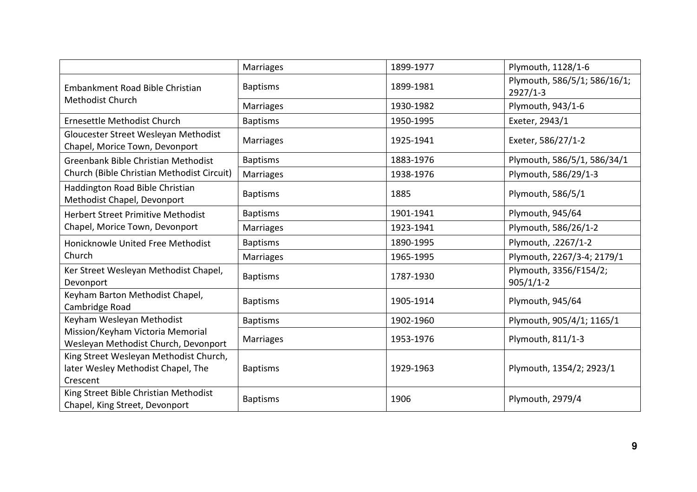|                                                                                          | Marriages        | 1899-1977 | Plymouth, 1128/1-6                         |
|------------------------------------------------------------------------------------------|------------------|-----------|--------------------------------------------|
| Embankment Road Bible Christian                                                          | <b>Baptisms</b>  | 1899-1981 | Plymouth, 586/5/1; 586/16/1;<br>$2927/1-3$ |
| Methodist Church                                                                         | <b>Marriages</b> | 1930-1982 | Plymouth, 943/1-6                          |
| Ernesettle Methodist Church                                                              | <b>Baptisms</b>  | 1950-1995 | Exeter, 2943/1                             |
| Gloucester Street Wesleyan Methodist<br>Chapel, Morice Town, Devonport                   | Marriages        | 1925-1941 | Exeter, 586/27/1-2                         |
| Greenbank Bible Christian Methodist                                                      | <b>Baptisms</b>  | 1883-1976 | Plymouth, 586/5/1, 586/34/1                |
| Church (Bible Christian Methodist Circuit)                                               | Marriages        | 1938-1976 | Plymouth, 586/29/1-3                       |
| Haddington Road Bible Christian<br>Methodist Chapel, Devonport                           | <b>Baptisms</b>  | 1885      | Plymouth, 586/5/1                          |
| <b>Herbert Street Primitive Methodist</b><br>Chapel, Morice Town, Devonport              | <b>Baptisms</b>  | 1901-1941 | Plymouth, 945/64                           |
|                                                                                          | Marriages        | 1923-1941 | Plymouth, 586/26/1-2                       |
| Honicknowle United Free Methodist                                                        | <b>Baptisms</b>  | 1890-1995 | Plymouth, .2267/1-2                        |
| Church                                                                                   | Marriages        | 1965-1995 | Plymouth, 2267/3-4; 2179/1                 |
| Ker Street Wesleyan Methodist Chapel,<br>Devonport                                       | <b>Baptisms</b>  | 1787-1930 | Plymouth, 3356/F154/2;<br>$905/1/1-2$      |
| Keyham Barton Methodist Chapel,<br>Cambridge Road                                        | <b>Baptisms</b>  | 1905-1914 | Plymouth, 945/64                           |
| Keyham Wesleyan Methodist                                                                | <b>Baptisms</b>  | 1902-1960 | Plymouth, 905/4/1; 1165/1                  |
| Mission/Keyham Victoria Memorial<br>Wesleyan Methodist Church, Devonport                 | <b>Marriages</b> | 1953-1976 | Plymouth, 811/1-3                          |
| King Street Wesleyan Methodist Church,<br>later Wesley Methodist Chapel, The<br>Crescent | <b>Baptisms</b>  | 1929-1963 | Plymouth, 1354/2; 2923/1                   |
| King Street Bible Christian Methodist<br>Chapel, King Street, Devonport                  | <b>Baptisms</b>  | 1906      | Plymouth, 2979/4                           |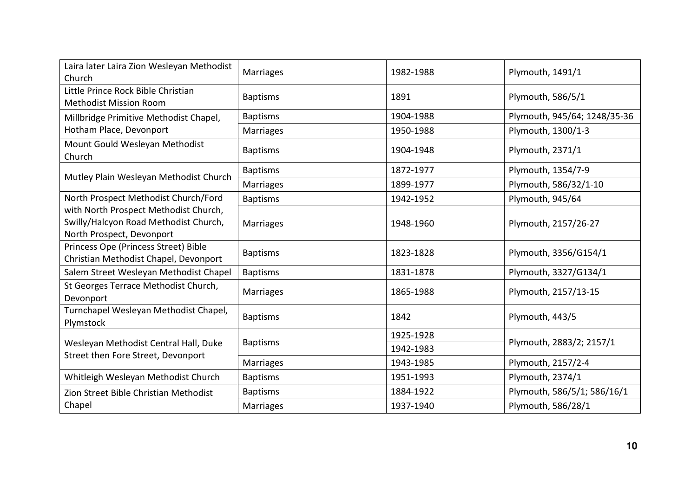| Laira later Laira Zion Wesleyan Methodist<br>Church                                                         | <b>Marriages</b> | 1982-1988 | Plymouth, 1491/1             |
|-------------------------------------------------------------------------------------------------------------|------------------|-----------|------------------------------|
| Little Prince Rock Bible Christian<br><b>Methodist Mission Room</b>                                         | <b>Baptisms</b>  | 1891      | Plymouth, 586/5/1            |
| Millbridge Primitive Methodist Chapel,                                                                      | <b>Baptisms</b>  | 1904-1988 | Plymouth, 945/64; 1248/35-36 |
| Hotham Place, Devonport                                                                                     | <b>Marriages</b> | 1950-1988 | Plymouth, 1300/1-3           |
| Mount Gould Wesleyan Methodist<br>Church                                                                    | <b>Baptisms</b>  | 1904-1948 | Plymouth, 2371/1             |
| Mutley Plain Wesleyan Methodist Church                                                                      | <b>Baptisms</b>  | 1872-1977 | Plymouth, 1354/7-9           |
|                                                                                                             | <b>Marriages</b> | 1899-1977 | Plymouth, 586/32/1-10        |
| North Prospect Methodist Church/Ford                                                                        | <b>Baptisms</b>  | 1942-1952 | Plymouth, 945/64             |
| with North Prospect Methodist Church,<br>Swilly/Halcyon Road Methodist Church,<br>North Prospect, Devonport | <b>Marriages</b> | 1948-1960 | Plymouth, 2157/26-27         |
| Princess Ope (Princess Street) Bible<br>Christian Methodist Chapel, Devonport                               | <b>Baptisms</b>  | 1823-1828 | Plymouth, 3356/G154/1        |
| Salem Street Wesleyan Methodist Chapel                                                                      | <b>Baptisms</b>  | 1831-1878 | Plymouth, 3327/G134/1        |
| St Georges Terrace Methodist Church,<br>Devonport                                                           | <b>Marriages</b> | 1865-1988 | Plymouth, 2157/13-15         |
| Turnchapel Wesleyan Methodist Chapel,<br>Plymstock                                                          | <b>Baptisms</b>  | 1842      | Plymouth, 443/5              |
|                                                                                                             | <b>Baptisms</b>  | 1925-1928 | Plymouth, 2883/2; 2157/1     |
| Wesleyan Methodist Central Hall, Duke<br>Street then Fore Street, Devonport                                 |                  | 1942-1983 |                              |
|                                                                                                             | Marriages        | 1943-1985 | Plymouth, 2157/2-4           |
| Whitleigh Wesleyan Methodist Church                                                                         | <b>Baptisms</b>  | 1951-1993 | Plymouth, 2374/1             |
| Zion Street Bible Christian Methodist                                                                       | <b>Baptisms</b>  | 1884-1922 | Plymouth, 586/5/1; 586/16/1  |
| Chapel                                                                                                      | <b>Marriages</b> | 1937-1940 | Plymouth, 586/28/1           |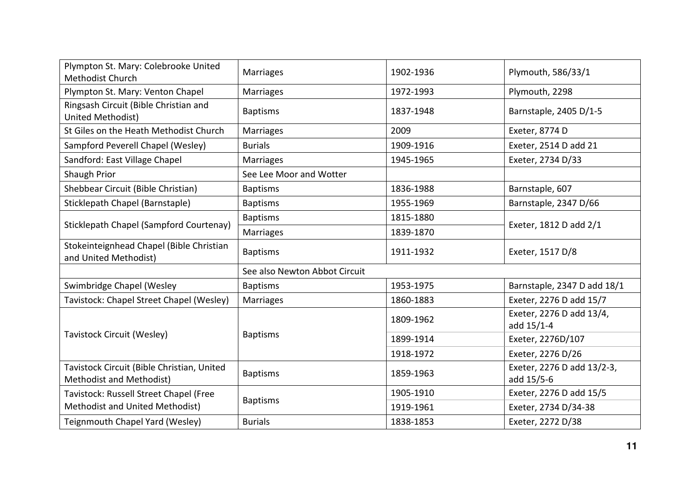| Plympton St. Mary: Colebrooke United<br>Methodist Church               | <b>Marriages</b>              | 1902-1936 | Plymouth, 586/33/1                       |
|------------------------------------------------------------------------|-------------------------------|-----------|------------------------------------------|
| Plympton St. Mary: Venton Chapel                                       | <b>Marriages</b>              | 1972-1993 | Plymouth, 2298                           |
| Ringsash Circuit (Bible Christian and<br>United Methodist)             | <b>Baptisms</b>               | 1837-1948 | Barnstaple, 2405 D/1-5                   |
| St Giles on the Heath Methodist Church                                 | <b>Marriages</b>              | 2009      | Exeter, 8774 D                           |
| Sampford Peverell Chapel (Wesley)                                      | <b>Burials</b>                | 1909-1916 | Exeter, 2514 D add 21                    |
| Sandford: East Village Chapel                                          | Marriages                     | 1945-1965 | Exeter, 2734 D/33                        |
| Shaugh Prior                                                           | See Lee Moor and Wotter       |           |                                          |
| Shebbear Circuit (Bible Christian)                                     | <b>Baptisms</b>               | 1836-1988 | Barnstaple, 607                          |
| Sticklepath Chapel (Barnstaple)                                        | <b>Baptisms</b>               | 1955-1969 | Barnstaple, 2347 D/66                    |
|                                                                        | <b>Baptisms</b>               | 1815-1880 |                                          |
| Sticklepath Chapel (Sampford Courtenay)                                | <b>Marriages</b>              | 1839-1870 | Exeter, 1812 D add 2/1                   |
| Stokeinteignhead Chapel (Bible Christian<br>and United Methodist)      | <b>Baptisms</b>               | 1911-1932 | Exeter, 1517 D/8                         |
|                                                                        | See also Newton Abbot Circuit |           |                                          |
| Swimbridge Chapel (Wesley                                              | <b>Baptisms</b>               | 1953-1975 | Barnstaple, 2347 D add 18/1              |
| Tavistock: Chapel Street Chapel (Wesley)                               | <b>Marriages</b>              | 1860-1883 | Exeter, 2276 D add 15/7                  |
|                                                                        |                               | 1809-1962 | Exeter, 2276 D add 13/4,<br>add 15/1-4   |
| Tavistock Circuit (Wesley)                                             | <b>Baptisms</b>               | 1899-1914 | Exeter, 2276D/107                        |
|                                                                        |                               | 1918-1972 | Exeter, 2276 D/26                        |
| Tavistock Circuit (Bible Christian, United<br>Methodist and Methodist) | <b>Baptisms</b>               | 1859-1963 | Exeter, 2276 D add 13/2-3,<br>add 15/5-6 |
| Tavistock: Russell Street Chapel (Free                                 |                               | 1905-1910 | Exeter, 2276 D add 15/5                  |
| Methodist and United Methodist)                                        | <b>Baptisms</b>               | 1919-1961 | Exeter, 2734 D/34-38                     |
| Teignmouth Chapel Yard (Wesley)                                        | <b>Burials</b>                | 1838-1853 | Exeter, 2272 D/38                        |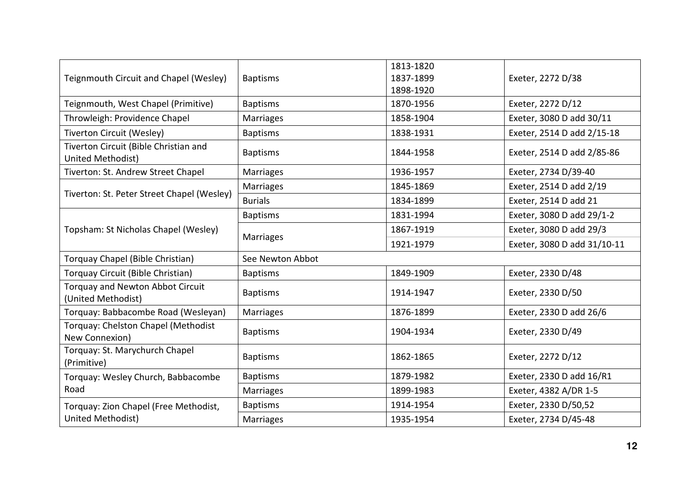| Teignmouth Circuit and Chapel (Wesley)                        | <b>Baptisms</b>  | 1813-1820<br>1837-1899<br>1898-1920 | Exeter, 2272 D/38           |
|---------------------------------------------------------------|------------------|-------------------------------------|-----------------------------|
| Teignmouth, West Chapel (Primitive)                           | <b>Baptisms</b>  | 1870-1956                           | Exeter, 2272 D/12           |
| Throwleigh: Providence Chapel                                 | Marriages        | 1858-1904                           | Exeter, 3080 D add 30/11    |
| <b>Tiverton Circuit (Wesley)</b>                              | <b>Baptisms</b>  | 1838-1931                           | Exeter, 2514 D add 2/15-18  |
| Tiverton Circuit (Bible Christian and<br>United Methodist)    | <b>Baptisms</b>  | 1844-1958                           | Exeter, 2514 D add 2/85-86  |
| Tiverton: St. Andrew Street Chapel                            | <b>Marriages</b> | 1936-1957                           | Exeter, 2734 D/39-40        |
| Tiverton: St. Peter Street Chapel (Wesley)                    | <b>Marriages</b> | 1845-1869                           | Exeter, 2514 D add 2/19     |
|                                                               | <b>Burials</b>   | 1834-1899                           | Exeter, 2514 D add 21       |
|                                                               | <b>Baptisms</b>  | 1831-1994                           | Exeter, 3080 D add 29/1-2   |
| Topsham: St Nicholas Chapel (Wesley)                          | <b>Marriages</b> | 1867-1919                           | Exeter, 3080 D add 29/3     |
|                                                               |                  | 1921-1979                           | Exeter, 3080 D add 31/10-11 |
| Torquay Chapel (Bible Christian)                              | See Newton Abbot |                                     |                             |
| Torquay Circuit (Bible Christian)                             | <b>Baptisms</b>  | 1849-1909                           | Exeter, 2330 D/48           |
| <b>Torquay and Newton Abbot Circuit</b><br>(United Methodist) | <b>Baptisms</b>  | 1914-1947                           | Exeter, 2330 D/50           |
| Torquay: Babbacombe Road (Wesleyan)                           | <b>Marriages</b> | 1876-1899                           | Exeter, 2330 D add 26/6     |
| Torquay: Chelston Chapel (Methodist<br>New Connexion)         | <b>Baptisms</b>  | 1904-1934                           | Exeter, 2330 D/49           |
| Torquay: St. Marychurch Chapel<br>(Primitive)                 | <b>Baptisms</b>  | 1862-1865                           | Exeter, 2272 D/12           |
| Torquay: Wesley Church, Babbacombe                            | <b>Baptisms</b>  | 1879-1982                           | Exeter, 2330 D add 16/R1    |
| Road                                                          | <b>Marriages</b> | 1899-1983                           | Exeter, 4382 A/DR 1-5       |
| Torquay: Zion Chapel (Free Methodist,                         | <b>Baptisms</b>  | 1914-1954                           | Exeter, 2330 D/50,52        |
| United Methodist)                                             | Marriages        | 1935-1954                           | Exeter, 2734 D/45-48        |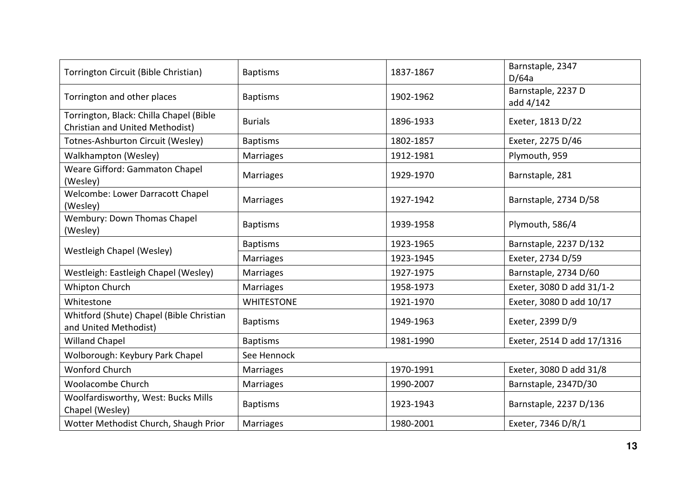| Torrington Circuit (Bible Christian)                                       | <b>Baptisms</b>   | 1837-1867 | Barnstaple, 2347<br>D/64a       |  |
|----------------------------------------------------------------------------|-------------------|-----------|---------------------------------|--|
| Torrington and other places                                                | <b>Baptisms</b>   | 1902-1962 | Barnstaple, 2237 D<br>add 4/142 |  |
| Torrington, Black: Chilla Chapel (Bible<br>Christian and United Methodist) | <b>Burials</b>    | 1896-1933 | Exeter, 1813 D/22               |  |
| Totnes-Ashburton Circuit (Wesley)                                          | <b>Baptisms</b>   | 1802-1857 | Exeter, 2275 D/46               |  |
| Walkhampton (Wesley)                                                       | <b>Marriages</b>  | 1912-1981 | Plymouth, 959                   |  |
| Weare Gifford: Gammaton Chapel<br>(Wesley)                                 | <b>Marriages</b>  | 1929-1970 | Barnstaple, 281                 |  |
| Welcombe: Lower Darracott Chapel<br>(Wesley)                               | <b>Marriages</b>  | 1927-1942 | Barnstaple, 2734 D/58           |  |
| Wembury: Down Thomas Chapel<br>(Wesley)                                    | <b>Baptisms</b>   | 1939-1958 | Plymouth, 586/4                 |  |
| Westleigh Chapel (Wesley)                                                  | <b>Baptisms</b>   | 1923-1965 | Barnstaple, 2237 D/132          |  |
|                                                                            | <b>Marriages</b>  | 1923-1945 | Exeter, 2734 D/59               |  |
| Westleigh: Eastleigh Chapel (Wesley)                                       | <b>Marriages</b>  | 1927-1975 | Barnstaple, 2734 D/60           |  |
| Whipton Church                                                             | <b>Marriages</b>  | 1958-1973 | Exeter, 3080 D add 31/1-2       |  |
| Whitestone                                                                 | <b>WHITESTONE</b> | 1921-1970 | Exeter, 3080 D add 10/17        |  |
| Whitford (Shute) Chapel (Bible Christian<br>and United Methodist)          | <b>Baptisms</b>   | 1949-1963 | Exeter, 2399 D/9                |  |
| <b>Willand Chapel</b>                                                      | <b>Baptisms</b>   | 1981-1990 | Exeter, 2514 D add 17/1316      |  |
| Wolborough: Keybury Park Chapel                                            | See Hennock       |           |                                 |  |
| Wonford Church                                                             | <b>Marriages</b>  | 1970-1991 | Exeter, 3080 D add 31/8         |  |
| Woolacombe Church                                                          | Marriages         | 1990-2007 | Barnstaple, 2347D/30            |  |
| Woolfardisworthy, West: Bucks Mills<br>Chapel (Wesley)                     | <b>Baptisms</b>   | 1923-1943 | Barnstaple, 2237 D/136          |  |
| Wotter Methodist Church, Shaugh Prior                                      | <b>Marriages</b>  | 1980-2001 | Exeter, 7346 D/R/1              |  |